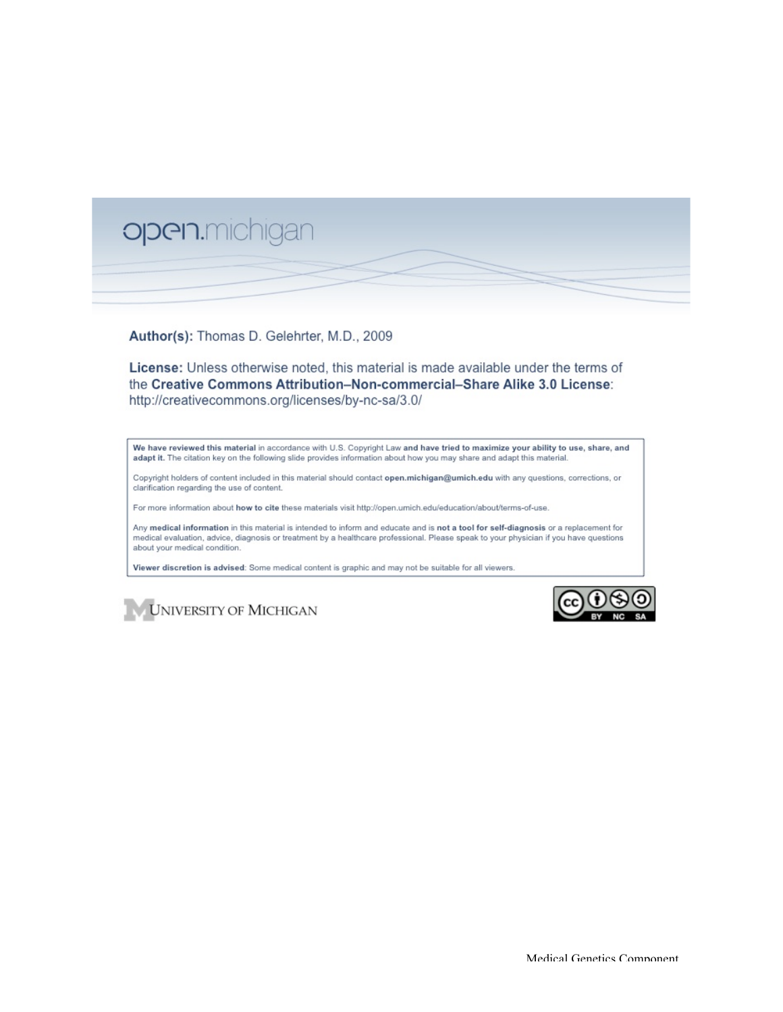

Author(s): Thomas D. Gelehrter, M.D., 2009

License: Unless otherwise noted, this material is made available under the terms of the Creative Commons Attribution-Non-commercial-Share Alike 3.0 License: http://creativecommons.org/licenses/by-nc-sa/3.0/

We have reviewed this material in accordance with U.S. Copyright Law and have tried to maximize your ability to use, share, and adapt it. The citation key on the following slide provides information about how you may share and adapt this material

Copyright holders of content included in this material should contact open.michigan@umich.edu with any questions, corrections, or clarification regarding the use of content.

For more information about how to cite these materials visit http://open.umich.edu/education/about/terms-of-use.

Any medical information in this material is intended to inform and educate and is not a tool for self-diagnosis or a replacement for medical evaluation, advice, diagnosis or treatment by a healthcare professional. Please speak to your physician if you have questions about your medical condition.

Viewer discretion is advised: Some medical content is graphic and may not be suitable for all viewers.



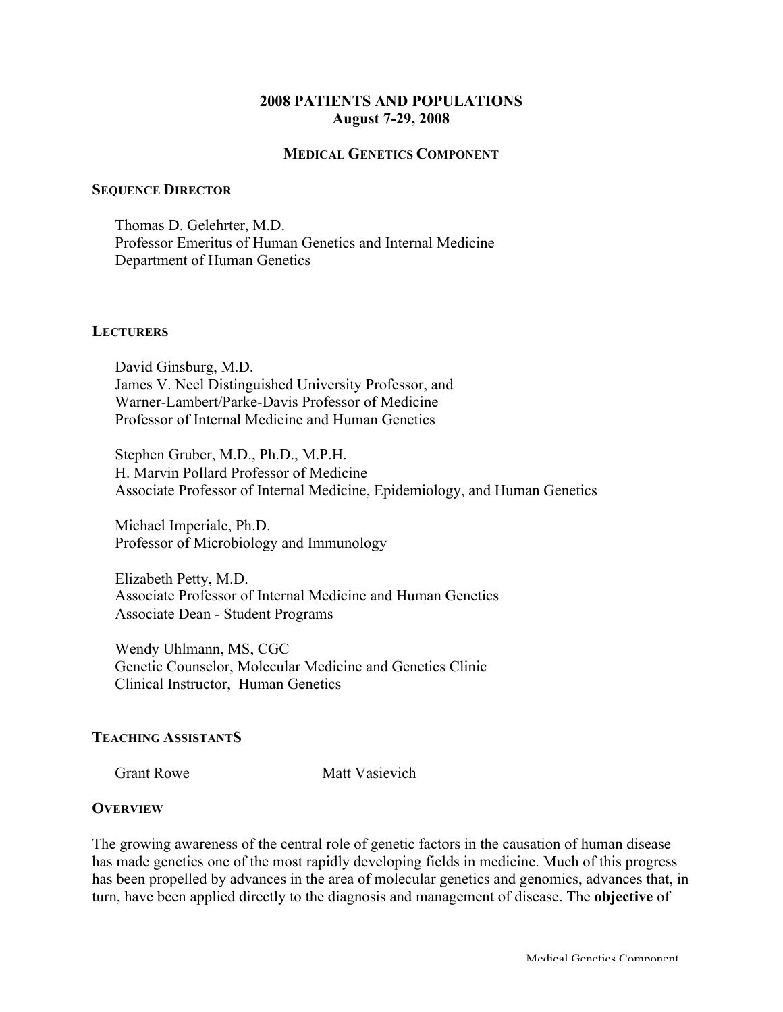# **2008 PATIENTS AND POPULATIONS August 7-29, 2008**

### **MEDICAL GENETICS COMPONENT**

#### **SEQUENCE DIRECTOR**

Thomas D. Gelehrter, M.D. Professor Emeritus of Human Genetics and Internal Medicine Department of Human Genetics

#### **LECTURERS**

David Ginsburg, M.D. James V. Neel Distinguished University Professor, and Warner-Lambert/Parke-Davis Professor of Medicine Professor of Internal Medicine and Human Genetics

Stephen Gruber, M.D., Ph.D., M.P.H. H. Marvin Pollard Professor of Medicine Associate Professor of Internal Medicine, Epidemiology, and Human Genetics

Michael Imperiale, Ph.D. Professor of Microbiology and Immunology

Elizabeth Petty, M.D. Associate Professor of Internal Medicine and Human Genetics Associate Dean - Student Programs

Wendy Uhlmann, MS, CGC Genetic Counselor, Molecular Medicine and Genetics Clinic Clinical Instructor, Human Genetics

### **TEACHING ASSISTANTS**

Grant Rowe Matt Vasievich

### **OVERVIEW**

The growing awareness of the central role of genetic factors in the causation of human disease has made genetics one of the most rapidly developing fields in medicine. Much of this progress has been propelled by advances in the area of molecular genetics and genomics, advances that, in turn, have been applied directly to the diagnosis and management of disease. The **objective** of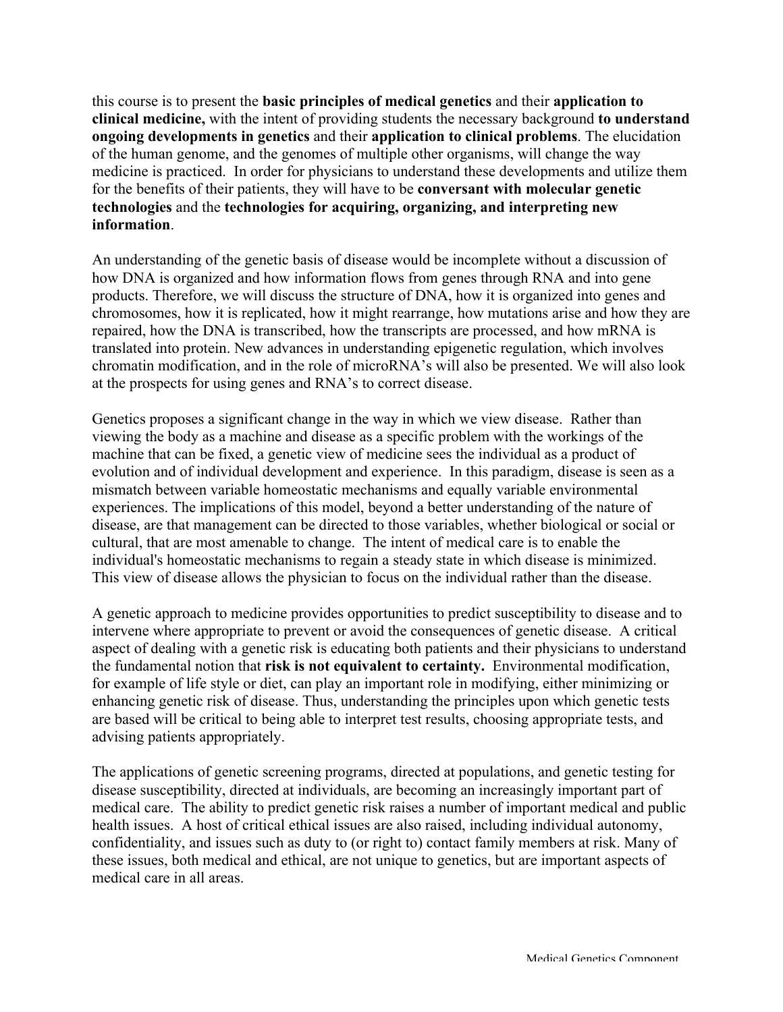this course is to present the **basic principles of medical genetics** and their **application to clinical medicine,** with the intent of providing students the necessary background **to understand ongoing developments in genetics** and their **application to clinical problems**. The elucidation of the human genome, and the genomes of multiple other organisms, will change the way medicine is practiced. In order for physicians to understand these developments and utilize them for the benefits of their patients, they will have to be **conversant with molecular genetic technologies** and the **technologies for acquiring, organizing, and interpreting new information**.

An understanding of the genetic basis of disease would be incomplete without a discussion of how DNA is organized and how information flows from genes through RNA and into gene products. Therefore, we will discuss the structure of DNA, how it is organized into genes and chromosomes, how it is replicated, how it might rearrange, how mutations arise and how they are repaired, how the DNA is transcribed, how the transcripts are processed, and how mRNA is translated into protein. New advances in understanding epigenetic regulation, which involves chromatin modification, and in the role of microRNA's will also be presented. We will also look at the prospects for using genes and RNA's to correct disease.

Genetics proposes a significant change in the way in which we view disease. Rather than viewing the body as a machine and disease as a specific problem with the workings of the machine that can be fixed, a genetic view of medicine sees the individual as a product of evolution and of individual development and experience. In this paradigm, disease is seen as a mismatch between variable homeostatic mechanisms and equally variable environmental experiences. The implications of this model, beyond a better understanding of the nature of disease, are that management can be directed to those variables, whether biological or social or cultural, that are most amenable to change. The intent of medical care is to enable the individual's homeostatic mechanisms to regain a steady state in which disease is minimized. This view of disease allows the physician to focus on the individual rather than the disease.

A genetic approach to medicine provides opportunities to predict susceptibility to disease and to intervene where appropriate to prevent or avoid the consequences of genetic disease. A critical aspect of dealing with a genetic risk is educating both patients and their physicians to understand the fundamental notion that **risk is not equivalent to certainty.** Environmental modification, for example of life style or diet, can play an important role in modifying, either minimizing or enhancing genetic risk of disease. Thus, understanding the principles upon which genetic tests are based will be critical to being able to interpret test results, choosing appropriate tests, and advising patients appropriately.

The applications of genetic screening programs, directed at populations, and genetic testing for disease susceptibility, directed at individuals, are becoming an increasingly important part of medical care. The ability to predict genetic risk raises a number of important medical and public health issues. A host of critical ethical issues are also raised, including individual autonomy, confidentiality, and issues such as duty to (or right to) contact family members at risk. Many of these issues, both medical and ethical, are not unique to genetics, but are important aspects of medical care in all areas.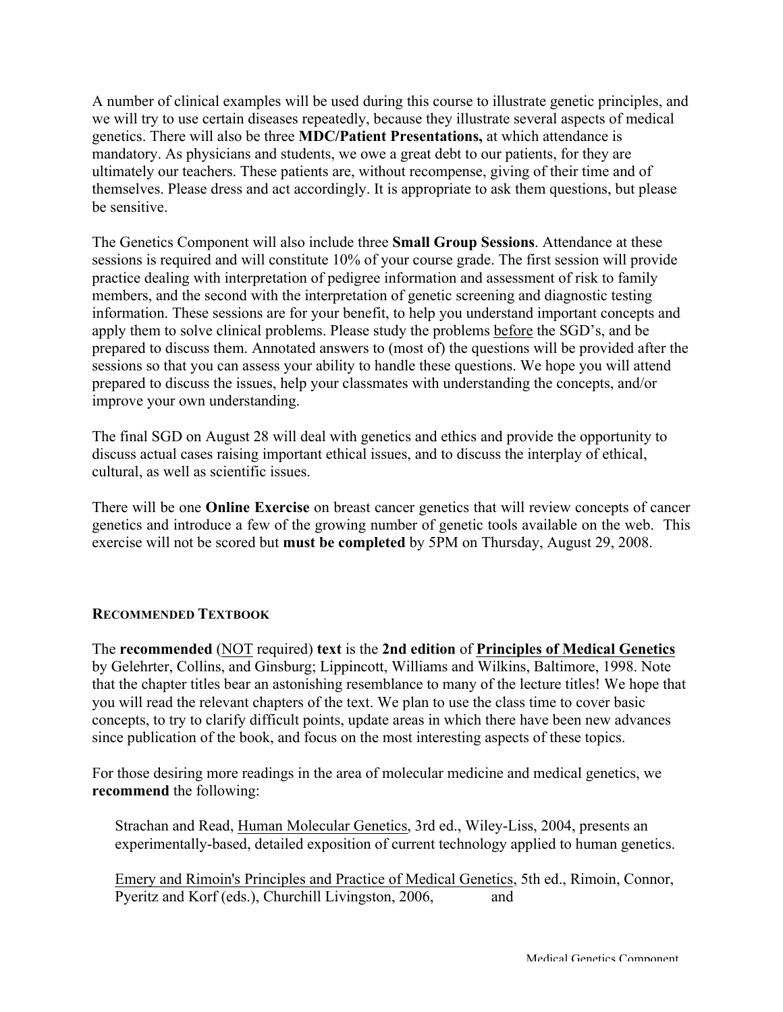A number of clinical examples will be used during this course to illustrate genetic principles, and we will try to use certain diseases repeatedly, because they illustrate several aspects of medical genetics. There will also be three **MDC/Patient Presentations,** at which attendance is mandatory. As physicians and students, we owe a great debt to our patients, for they are ultimately our teachers. These patients are, without recompense, giving of their time and of themselves. Please dress and act accordingly. It is appropriate to ask them questions, but please be sensitive.

The Genetics Component will also include three **Small Group Sessions**. Attendance at these sessions is required and will constitute 10% of your course grade. The first session will provide practice dealing with interpretation of pedigree information and assessment of risk to family members, and the second with the interpretation of genetic screening and diagnostic testing information. These sessions are for your benefit, to help you understand important concepts and apply them to solve clinical problems. Please study the problems before the SGD's, and be prepared to discuss them. Annotated answers to (most of) the questions will be provided after the sessions so that you can assess your ability to handle these questions. We hope you will attend prepared to discuss the issues, help your classmates with understanding the concepts, and/or improve your own understanding.

The final SGD on August 28 will deal with genetics and ethics and provide the opportunity to discuss actual cases raising important ethical issues, and to discuss the interplay of ethical, cultural, as well as scientific issues.

There will be one **Online Exercise** on breast cancer genetics that will review concepts of cancer genetics and introduce a few of the growing number of genetic tools available on the web. This exercise will not be scored but **must be completed** by 5PM on Thursday, August 29, 2008.

# **RECOMMENDED TEXTBOOK**

The **recommended** (NOT required) **text** is the **2nd edition** of **Principles of Medical Genetics** by Gelehrter, Collins, and Ginsburg; Lippincott, Williams and Wilkins, Baltimore, 1998. Note that the chapter titles bear an astonishing resemblance to many of the lecture titles! We hope that you will read the relevant chapters of the text. We plan to use the class time to cover basic concepts, to try to clarify difficult points, update areas in which there have been new advances since publication of the book, and focus on the most interesting aspects of these topics.

For those desiring more readings in the area of molecular medicine and medical genetics, we **recommend** the following:

Strachan and Read, Human Molecular Genetics, 3rd ed., Wiley-Liss, 2004, presents an experimentally-based, detailed exposition of current technology applied to human genetics.

Emery and Rimoin's Principles and Practice of Medical Genetics, 5th ed., Rimoin, Connor, Pyeritz and Korf (eds.), Churchill Livingston, 2006, and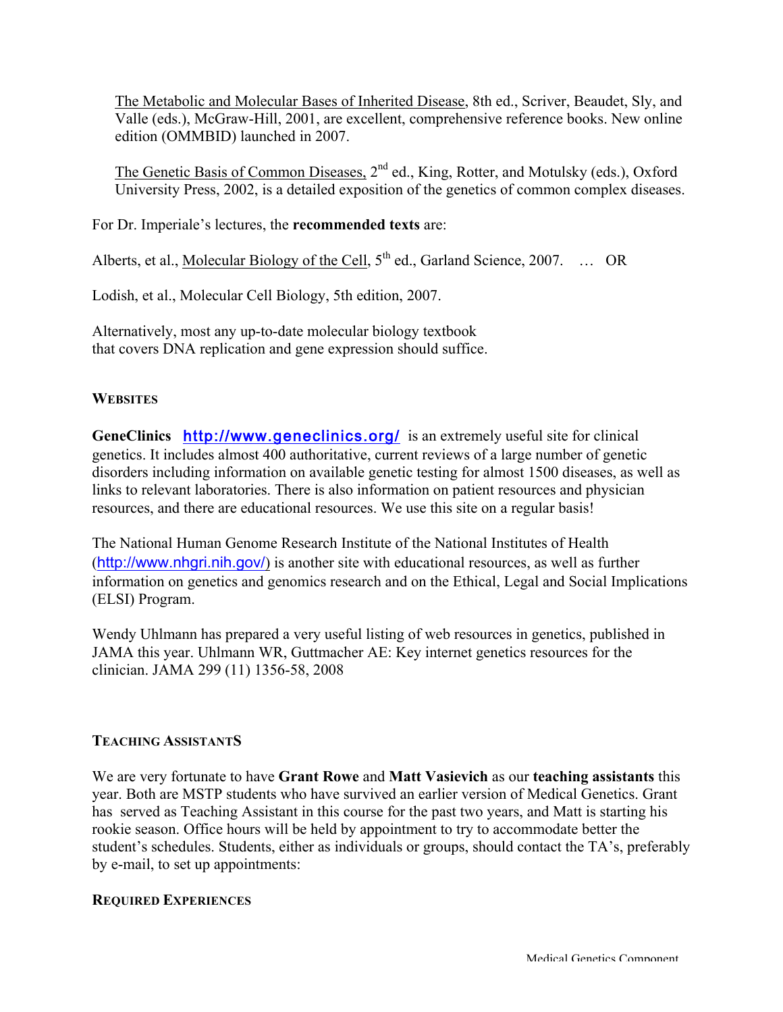The Metabolic and Molecular Bases of Inherited Disease, 8th ed., Scriver, Beaudet, Sly, and Valle (eds.), McGraw-Hill, 2001, are excellent, comprehensive reference books. New online edition (OMMBID) launched in 2007.

The Genetic Basis of Common Diseases, 2<sup>nd</sup> ed., King, Rotter, and Motulsky (eds.), Oxford University Press, 2002, is a detailed exposition of the genetics of common complex diseases.

For Dr. Imperiale's lectures, the **recommended texts** are:

Alberts, et al., Molecular Biology of the Cell,  $5<sup>th</sup>$  ed., Garland Science, 2007. ... OR

Lodish, et al., Molecular Cell Biology, 5th edition, 2007.

Alternatively, most any up-to-date molecular biology textbook that covers DNA replication and gene expression should suffice.

# **WEBSITES**

**GeneClinics** http://www.geneclinics.org/is an extremely useful site for clinical genetics. It includes almost 400 authoritative, current reviews of a large number of genetic disorders including information on available genetic testing for almost 1500 diseases, as well as links to relevant laboratories. There is also information on patient resources and physician resources, and there are educational resources. We use this site on a regular basis!

The National Human Genome Research Institute of the National Institutes of Health (http://www.nhgri.nih.gov/) is another site with educational resources, as well as further information on genetics and genomics research and on the Ethical, Legal and Social Implications (ELSI) Program.

Wendy Uhlmann has prepared a very useful listing of web resources in genetics, published in JAMA this year. Uhlmann WR, Guttmacher AE: Key internet genetics resources for the clinician. JAMA 299 (11) 1356-58, 2008

# **TEACHING ASSISTANTS**

We are very fortunate to have **Grant Rowe** and **Matt Vasievich** as our **teaching assistants** this year. Both are MSTP students who have survived an earlier version of Medical Genetics. Grant has served as Teaching Assistant in this course for the past two years, and Matt is starting his rookie season. Office hours will be held by appointment to try to accommodate better the student's schedules. Students, either as individuals or groups, should contact the TA's, preferably by e-mail, to set up appointments:

# **REQUIRED EXPERIENCES**